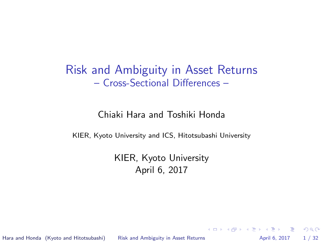#### <span id="page-0-0"></span>Risk and Ambiguity in Asset Returns – Cross-Sectional Differences –

#### Chiaki Hara and Toshiki Honda

KIER, Kyoto University and ICS, Hitotsubashi University

KIER, Kyoto University April 6, 2017

Hara and Honda (Kyoto and Hitotsubashi) [Risk and Ambiguity in Asset Returns](#page-31-0) April 6, 2017 1/32

K ロ ▶ K 個 ▶ K 로 ▶ K 로 ▶ - 로 - K 9 Q @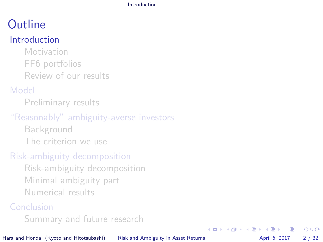[Introduction](#page-1-0)

# <span id="page-1-0"></span>**Outline**

#### [Introduction](#page-1-0)

[Motivation](#page-2-0) [FF6 portfolios](#page-3-0) [Review of our results](#page-5-0)

#### [Model](#page-9-0)

[Preliminary results](#page-10-0)

#### ["Reasonably" ambiguity-averse investors](#page-14-0)

[Background](#page-15-0) [The criterion we use](#page-18-0)

#### [Risk-ambiguity decomposition](#page-20-0)

[Risk-ambiguity decomposition](#page-21-0) [Minimal ambiguity part](#page-24-0) [Numerical results](#page-27-0)

#### [Conclusion](#page-30-0)

[Summary and future research](#page-31-0)

Hara and Honda (Kyoto and Hitotsubashi) [Risk and Ambiguity in Asset Returns](#page-0-0) April 6, 2017 2 / 32

- 3

 $QQ$ 

イロト イ押ト イヨト イヨト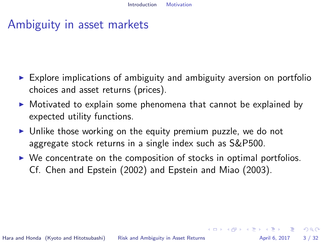## <span id="page-2-0"></span>Ambiguity in asset markets

- $\triangleright$  Explore implications of ambiguity and ambiguity aversion on portfolio choices and asset returns (prices).
- $\triangleright$  Motivated to explain some phenomena that cannot be explained by expected utility functions.
- $\triangleright$  Unlike those working on the equity premium puzzle, we do not aggregate stock returns in a single index such as S&P500.
- $\triangleright$  We concentrate on the composition of stocks in optimal portfolios. Cf. Chen and Epstein (2002) and Epstein and Miao (2003).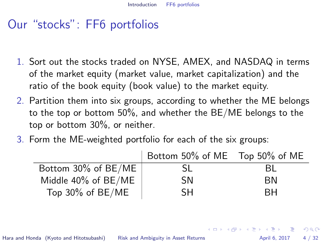## <span id="page-3-0"></span>Our "stocks": FF6 portfolios

- 1. Sort out the stocks traded on NYSE, AMEX, and NASDAQ in terms of the market equity (market value, market capitalization) and the ratio of the book equity (book value) to the market equity.
- 2. Partition them into six groups, according to whether the ME belongs to the top or bottom 50%, and whether the BE/ME belongs to the top or bottom 30%, or neither.
- 3. Form the ME-weighted portfolio for each of the six groups:

|                     | Bottom 50% of ME Top 50% of ME |      |
|---------------------|--------------------------------|------|
| Bottom 30% of BE/ME | SL                             | - BL |
| Middle 40% of BE/ME | <b>SN</b>                      | ΒN   |
| Top 30% of BE/ME    | SН                             | RН   |

Hara and Honda (Kyoto and Hitotsubashi) [Risk and Ambiguity in Asset Returns](#page-0-0) **Ambiguity** April 6, 2017 4 / 32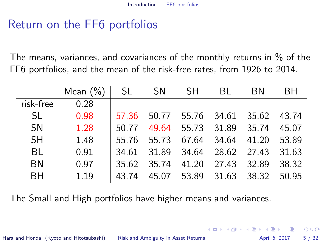## Return on the FF6 portfolios

The means, variances, and covariances of the monthly returns in % of the FF6 portfolios, and the mean of the risk-free rates, from 1926 to 2014.

|           | Mean $(\%)$ | SL.   | <b>SN</b> | SH.         | BL    | BN.         | BН    |
|-----------|-------------|-------|-----------|-------------|-------|-------------|-------|
| risk-free | 0.28        |       |           |             |       |             |       |
| SL.       | 0.98        | 57.36 | 50.77     | 55.76 34.61 |       | 35.62       | 43.74 |
| <b>SN</b> | 1.28        | 50.77 | 49.64     | 55.73       | 31.89 | 35.74       | 45.07 |
| <b>SH</b> | 1.48        | 55.76 | 55.73     | 67.64       | 34.64 | 41.20       | 53.89 |
| BL        | 0.91        | 34.61 | 31.89     | 34.64       |       | 28.62 27.43 | 31.63 |
| BN        | 0.97        | 35.62 | 35.74     | 41.20       | 27.43 | 32.89       | 38.32 |
| <b>BH</b> | 1.19        | 43.74 | 45.07     | 53.89       | 31.63 | 38.32       | 50.95 |

The Small and High portfolios have higher means and variances.

Hara and Honda (Kyoto and Hitotsubashi) [Risk and Ambiguity in Asset Returns](#page-0-0) April 6, 2017 5/32

 $\Omega$ 

 $\left\{ \begin{array}{ccc} 1 & 0 & 0 \\ 0 & 1 & 0 \end{array} \right.$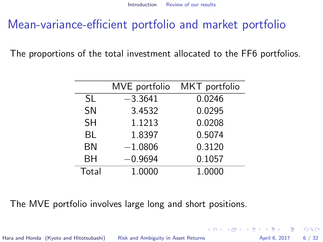## <span id="page-5-0"></span>Mean-variance-efficient portfolio and market portfolio

The proportions of the total investment allocated to the FF6 portfolios.

|           | MVE portfolio | MKT portfolio |
|-----------|---------------|---------------|
| SL        | $-3.3641$     | 0.0246        |
| <b>SN</b> | 3.4532        | 0.0295        |
| <b>SH</b> | 1.1213        | 0.0208        |
| BL        | 1.8397        | 0.5074        |
| ΒN        | $-1.0806$     | 0.3120        |
| ΒH        | $-0.9694$     | 0.1057        |
| Total     | 1.0000        | 1.0000        |

The MVE portfolio involves large long and short positions.

Hara and Honda (Kyoto and Hitotsubashi) [Risk and Ambiguity in Asset Returns](#page-0-0) April 6, 2017 6/32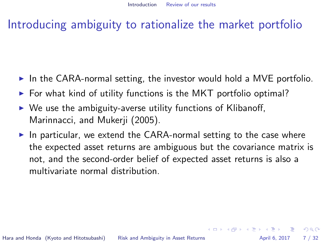## Introducing ambiguity to rationalize the market portfolio

- In the CARA-normal setting, the investor would hold a MVE portfolio.
- $\triangleright$  For what kind of utility functions is the MKT portfolio optimal?
- $\triangleright$  We use the ambiguity-averse utility functions of Klibanoff, Marinnacci, and Mukerji (2005).
- $\blacktriangleright$  In particular, we extend the CARA-normal setting to the case where the expected asset returns are ambiguous but the covariance matrix is not, and the second-order belief of expected asset returns is also a multivariate normal distribution.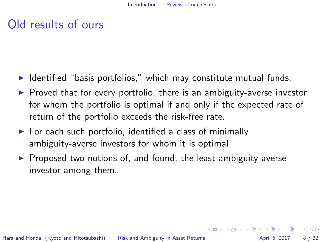## Old results of ours

- $\blacktriangleright$  Identified "basis portfolios," which may constitute mutual funds.
- $\triangleright$  Proved that for every portfolio, there is an ambiguity-averse investor for whom the portfolio is optimal if and only if the expected rate of return of the portfolio exceeds the risk-free rate.
- $\triangleright$  For each such portfolio, identified a class of minimally ambiguity-averse investors for whom it is optimal.
- $\triangleright$  Proposed two notions of, and found, the least ambiguity-averse investor among them.

 $=$   $\Omega$ 

イロト イ押ト イヨト イヨト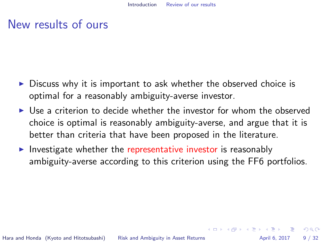#### New results of ours

- $\triangleright$  Discuss why it is important to ask whether the observed choice is optimal for a reasonably ambiguity-averse investor.
- I Use a criterion to decide whether the investor for whom the observed choice is optimal is reasonably ambiguity-averse, and argue that it is better than criteria that have been proposed in the literature.
- Investigate whether the representative investor is reasonably ambiguity-averse according to this criterion using the FF6 portfolios.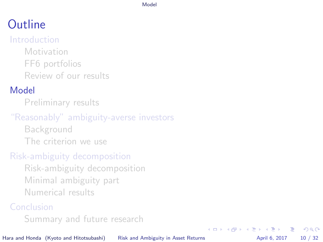#### [Model](#page-9-0)

# <span id="page-9-0"></span>**Outline**

#### [Introduction](#page-1-0)

[Motivation](#page-2-0) [FF6 portfolios](#page-3-0) [Review of our results](#page-5-0)

#### [Model](#page-9-0)

[Preliminary results](#page-10-0)

#### ["Reasonably" ambiguity-averse investors](#page-14-0)

[Background](#page-15-0) [The criterion we use](#page-18-0)

#### [Risk-ambiguity decomposition](#page-20-0)

[Risk-ambiguity decomposition](#page-21-0) [Minimal ambiguity part](#page-24-0) [Numerical results](#page-27-0)

#### [Conclusion](#page-30-0)

[Summary and future research](#page-31-0)

Hara and Honda (Kyoto and Hitotsubashi) [Risk and Ambiguity in Asset Returns](#page-0-0) April 6, 2017 10 / 32

画

 $QQ$ 

イロト イ押ト イヨト イヨト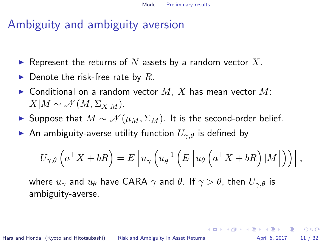## <span id="page-10-0"></span>Ambiguity and ambiguity aversion

- Represent the returns of N assets by a random vector X.
- $\blacktriangleright$  Denote the risk-free rate by R.
- $\blacktriangleright$  Conditional on a random vector  $M$ ,  $X$  has mean vector  $M$ :  $X|M \sim \mathcal{N}(M, \Sigma_{X|M}).$
- ► Suppose that  $M \sim \mathcal{N}(\mu_M, \Sigma_M)$ . It is the second-order belief.
- An ambiguity-averse utility function  $U_{\gamma,\theta}$  is defined by

$$
U_{\gamma,\theta}\left(a^{\top}X+bR\right)=E\left[u_{\gamma}\left(u_{\theta}^{-1}\left(E\left[u_{\theta}\left(a^{\top}X+bR\right)|M\right]\right)\right)\right],
$$

where  $u_{\gamma}$  and  $u_{\theta}$  have CARA  $\gamma$  and  $\theta$ . If  $\gamma > \theta$ , then  $U_{\gamma,\theta}$  is ambiguity-averse.

Hara and Honda (Kyoto and Hitotsubashi) [Risk and Ambiguity in Asset Returns](#page-0-0) April 6, 2017 11 / 32

K ロ ▶ K @ ▶ K 할 ▶ K 할 ▶ ... 할 → 9 Q @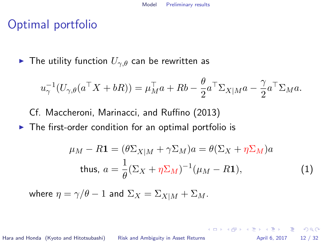## Optimal portfolio

► The utility function  $U_{\gamma,\theta}$  can be rewritten as

$$
u_{\gamma}^{-1}(U_{\gamma,\theta}(a^{\top}X+bR)) = \mu_M^{\top}a + Rb - \frac{\theta}{2}a^{\top}\Sigma_{X|M}a - \frac{\gamma}{2}a^{\top}\Sigma_M a.
$$

- Cf. Maccheroni, Marinacci, and Ruffino (2013)
- $\triangleright$  The first-order condition for an optimal portfolio is

<span id="page-11-0"></span>
$$
\mu_M - R\mathbf{1} = (\theta \Sigma_{X|M} + \gamma \Sigma_M)a = \theta(\Sigma_X + \eta \Sigma_M)a
$$
  
thus, 
$$
a = \frac{1}{\theta}(\Sigma_X + \eta \Sigma_M)^{-1}(\mu_M - R\mathbf{1}),
$$
 (1)

where  $\eta = \gamma/\theta - 1$  and  $\Sigma_X = \Sigma_{X|M} + \Sigma_M$ .

Hara and Honda (Kyoto and Hitotsubashi) [Risk and Ambiguity in Asset Returns](#page-0-0) April 6, 2017 12 / 32

K ロ X K @ X K 할 X K 할 X - 할 X YO Q @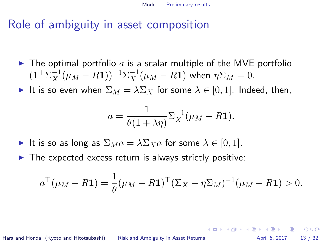## Role of ambiguity in asset composition

- $\blacktriangleright$  The optimal portfolio a is a scalar multiple of the MVE portfolio  $(\mathbf{1}^\top \Sigma_X^{-1} (\mu_M - R \mathbf{1}))^{-1} \Sigma_X^{-1} (\mu_M - R \mathbf{1})$  when  $\eta \Sigma_M = 0$ .
- It is so even when  $\Sigma_M = \lambda \Sigma_X$  for some  $\lambda \in [0, 1]$ . Indeed, then,

$$
a = \frac{1}{\theta(1 + \lambda \eta)} \Sigma_X^{-1} (\mu_M - R\mathbf{1}).
$$

- It is so as long as  $\Sigma_M a = \lambda \Sigma_X a$  for some  $\lambda \in [0, 1]$ .
- $\triangleright$  The expected excess return is always strictly positive:

$$
a^{\top}(\mu_M - R\mathbf{1}) = \frac{1}{\theta}(\mu_M - R\mathbf{1})^{\top}(\Sigma_X + \eta \Sigma_M)^{-1}(\mu_M - R\mathbf{1}) > 0.
$$

Hara and Honda (Kyoto and Hitotsubashi) [Risk and Ambiguity in Asset Returns](#page-0-0) April 6, 2017 13 / 32

K ロ ▶ K 個 ▶ K 로 ▶ K 로 ▶ 『로 』 ◇ Q Q @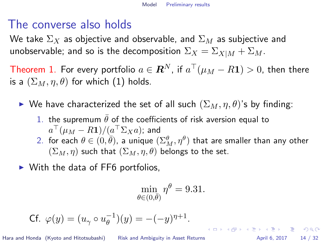## The converse also holds

We take  $\Sigma_X$  as objective and observable, and  $\Sigma_M$  as subjective and unobservable; and so is the decomposition  $\Sigma_X = \Sigma_{X|M} + \Sigma_M$ .

Theorem 1. For every portfolio  $a\in \boldsymbol{R}^N$ , if  $a^\top(\mu_M-R\boldsymbol{1})>0,$  then there is a  $(\Sigma_M, \eta, \theta)$  for which [\(1\)](#page-11-0) holds.

- ► We have characterized the set of all such  $(\Sigma_M, \eta, \theta)$ 's by finding:
	- 1. the supremum  $\bar{\theta}$  of the coefficients of risk aversion equal to  $a^\top(\mu_M-R\mathbf{1})/(a^\top \Sigma_X a);$  and
	- 2. for each  $\theta\in(0,\overline{\theta}),$  a unique  $(\Sigma^\theta_M,\eta^\theta)$  that are smaller than any other  $(\Sigma_M, \eta)$  such that  $(\Sigma_M, \eta, \theta)$  belongs to the set.
- $\triangleright$  With the data of FF6 portfolios,

$$
\min_{\theta \in (0,\bar{\theta})} \eta^{\theta} = 9.31.
$$

$$
\text{Cf. } \varphi(y) = (u_{\gamma} \circ u_{\theta}^{-1})(y) = -(-y)^{\eta+1}.
$$

Hara and Honda (Kyoto and Hitotsubashi) [Risk and Ambiguity in Asset Returns](#page-0-0) April 6, 2017 14 / 32

K ロ ▶ K 個 ▶ K 로 ▶ K 로 ▶ 『로 』 ◇ Q Q @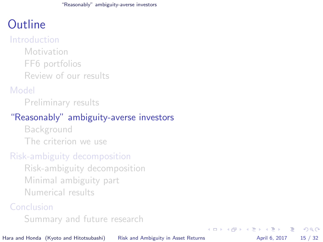## <span id="page-14-0"></span>**Outline**

#### [Introduction](#page-1-0)

[Motivation](#page-2-0) [FF6 portfolios](#page-3-0) [Review of our results](#page-5-0)

#### [Model](#page-9-0)

[Preliminary results](#page-10-0)

#### ["Reasonably" ambiguity-averse investors](#page-14-0)

[Background](#page-15-0) [The criterion we use](#page-18-0)

#### [Risk-ambiguity decomposition](#page-20-0)

[Risk-ambiguity decomposition](#page-21-0) [Minimal ambiguity part](#page-24-0) [Numerical results](#page-27-0)

#### [Conclusion](#page-30-0)

[Summary and future research](#page-31-0)

Hara and Honda (Kyoto and Hitotsubashi) [Risk and Ambiguity in Asset Returns](#page-0-0) April 6, 2017 15 / 32

画

 $QQ$ 

イロト イ押ト イヨト イヨト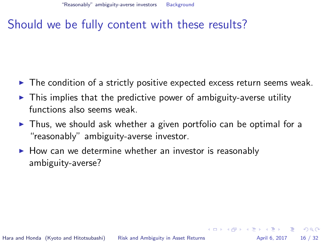## <span id="page-15-0"></span>Should we be fully content with these results?

- $\blacktriangleright$  The condition of a strictly positive expected excess return seems weak.
- $\triangleright$  This implies that the predictive power of ambiguity-averse utility functions also seems weak.
- $\triangleright$  Thus, we should ask whether a given portfolio can be optimal for a "reasonably" ambiguity-averse investor.
- $\blacktriangleright$  How can we determine whether an investor is reasonably ambiguity-averse?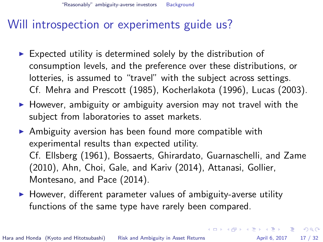["Reasonably" ambiguity-averse investors](#page-14-0) [Background](#page-15-0)

## Will introspection or experiments guide us?

- $\triangleright$  Expected utility is determined solely by the distribution of consumption levels, and the preference over these distributions, or lotteries, is assumed to "travel" with the subject across settings. Cf. Mehra and Prescott (1985), Kocherlakota (1996), Lucas (2003).
- $\blacktriangleright$  However, ambiguity or ambiguity aversion may not travel with the subject from laboratories to asset markets.
- $\triangleright$  Ambiguity aversion has been found more compatible with experimental results than expected utility. Cf. Ellsberg (1961), Bossaerts, Ghirardato, Guarnaschelli, and Zame (2010), Ahn, Choi, Gale, and Kariv (2014), Attanasi, Gollier, Montesano, and Pace (2014).
- $\triangleright$  However, different parameter values of ambiguity-averse utility functions of the same type have rarely been compared.

Hara and Honda (Kyoto and Hitotsubashi) [Risk and Ambiguity in Asset Returns](#page-0-0) April 6, 2017 17 / 32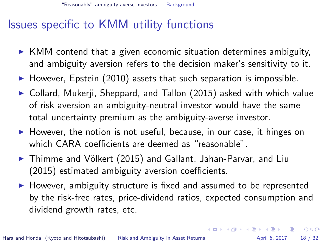## Issues specific to KMM utility functions

- $\triangleright$  KMM contend that a given economic situation determines ambiguity, and ambiguity aversion refers to the decision maker's sensitivity to it.
- $\blacktriangleright$  However, Epstein (2010) assets that such separation is impossible.
- $\triangleright$  Collard, Mukerji, Sheppard, and Tallon (2015) asked with which value of risk aversion an ambiguity-neutral investor would have the same total uncertainty premium as the ambiguity-averse investor.
- $\triangleright$  However, the notion is not useful, because, in our case, it hinges on which CARA coefficients are deemed as "reasonable".
- ▶ Thimme and Völkert (2015) and Gallant, Jahan-Parvar, and Liu (2015) estimated ambiguity aversion coefficients.
- $\blacktriangleright$  However, ambiguity structure is fixed and assumed to be represented by the risk-free rates, price-dividend ratios, expected consumption and dividend growth rates, etc.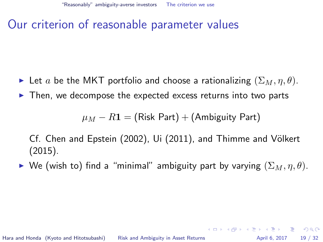## <span id="page-18-0"></span>Our criterion of reasonable parameter values

- Exect a be the MKT portfolio and choose a rationalizing  $(\Sigma_M, \eta, \theta)$ .
- $\triangleright$  Then, we decompose the expected excess returns into two parts

 $\mu_M - R\mathbf{1} = (Risk Part) + (Ambiguity Part)$ 

Cf. Chen and Epstein (2002), Ui (2011), and Thimme and Völkert (2015).

► We (wish to) find a "minimal" ambiguity part by varying  $(\Sigma_M, \eta, \theta)$ .

K ロ ▶ K 個 ▶ K 로 ▶ K 로 ▶ 『로 』 ◇ Q Q @

Hara and Honda (Kyoto and Hitotsubashi) [Risk and Ambiguity in Asset Returns](#page-0-0) April 6, 2017 19 / 32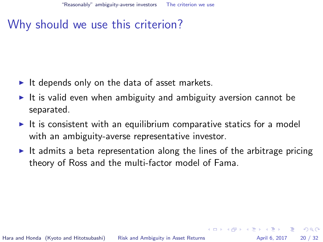## Why should we use this criterion?

- It depends only on the data of asset markets.
- It is valid even when ambiguity and ambiguity aversion cannot be separated.
- $\triangleright$  It is consistent with an equilibrium comparative statics for a model with an ambiguity-averse representative investor.
- It admits a beta representation along the lines of the arbitrage pricing theory of Ross and the multi-factor model of Fama.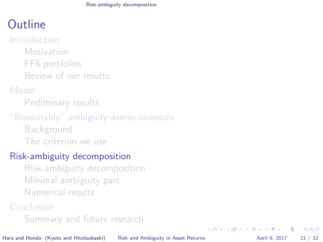[Risk-ambiguity decomposition](#page-20-0)

## <span id="page-20-0"></span>**Outline**

#### [Introduction](#page-1-0)

[Motivation](#page-2-0) [FF6 portfolios](#page-3-0) [Review of our results](#page-5-0)

#### [Model](#page-9-0)

[Preliminary results](#page-10-0)

#### ["Reasonably" ambiguity-averse investors](#page-14-0)

[Background](#page-15-0) [The criterion we use](#page-18-0)

#### [Risk-ambiguity decomposition](#page-20-0)

[Risk-ambiguity decomposition](#page-21-0) [Minimal ambiguity part](#page-24-0) [Numerical results](#page-27-0)

#### [Conclusion](#page-30-0)

[Summary and future research](#page-31-0)

Hara and Honda (Kyoto and Hitotsubashi) [Risk and Ambiguity in Asset Returns](#page-0-0) April 6, 2017 21 / 32

画

 $QQ$ 

イロト イ押ト イヨト イヨト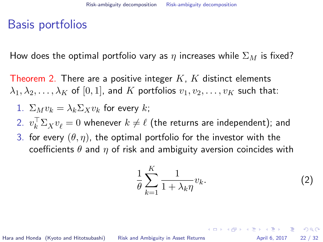## <span id="page-21-0"></span>Basis portfolios

How does the optimal portfolio vary as  $\eta$  increases while  $\Sigma_M$  is fixed?

Theorem 2. There are a positive integer  $K$ ,  $K$  distinct elements  $\lambda_1, \lambda_2, \ldots, \lambda_K$  of  $[0, 1]$ , and K portfolios  $v_1, v_2, \ldots, v_K$  such that:

1. 
$$
\Sigma_M v_k = \lambda_k \Sigma_X v_k
$$
 for every  $k$ ;

 $2. \ \ v_k^\top \Sigma_X v_\ell = 0$  whenever  $k \neq \ell$  (the returns are independent); and

3. for every  $(\theta, \eta)$ , the optimal portfolio for the investor with the coefficients  $\theta$  and  $\eta$  of risk and ambiguity aversion coincides with

<span id="page-21-1"></span>
$$
\frac{1}{\theta} \sum_{k=1}^{K} \frac{1}{1 + \lambda_k \eta} v_k.
$$
 (2)

Hara and Honda (Kyoto and Hitotsubashi) [Risk and Ambiguity in Asset Returns](#page-0-0) April 6, 2017 22 / 32

K ロ ▶ K @ ▶ K 할 ▶ K 할 ▶ ... 할 → 9 Q @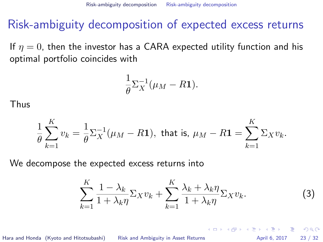## Risk-ambiguity decomposition of expected excess returns

If  $\eta = 0$ , then the investor has a CARA expected utility function and his optimal portfolio coincides with

$$
\frac{1}{\theta} \Sigma_X^{-1} (\mu_M - R \mathbf{1}).
$$

Thus

$$
\frac{1}{\theta}\sum_{k=1}^K v_k = \frac{1}{\theta}\Sigma_X^{-1}(\mu_M - R\mathbf{1}), \text{ that is, } \mu_M - R\mathbf{1} = \sum_{k=1}^K \Sigma_X v_k.
$$

We decompose the expected excess returns into

<span id="page-22-0"></span>
$$
\sum_{k=1}^{K} \frac{1 - \lambda_k}{1 + \lambda_k \eta} \Sigma_X v_k + \sum_{k=1}^{K} \frac{\lambda_k + \lambda_k \eta}{1 + \lambda_k \eta} \Sigma_X v_k.
$$
 (3)

Hara and Honda (Kyoto and Hitotsubashi) [Risk and Ambiguity in Asset Returns](#page-0-0) April 6, 2017 23 / 32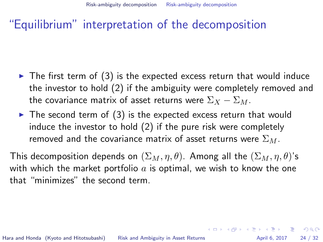#### "Equilibrium" interpretation of the decomposition

- $\blacktriangleright$  The first term of [\(3\)](#page-22-0) is the expected excess return that would induce the investor to hold [\(2\)](#page-21-1) if the ambiguity were completely removed and the covariance matrix of asset returns were  $\Sigma_X - \Sigma_M$ .
- $\triangleright$  The second term of [\(3\)](#page-22-0) is the expected excess return that would induce the investor to hold [\(2\)](#page-21-1) if the pure risk were completely removed and the covariance matrix of asset returns were  $\Sigma_M$ .

This decomposition depends on  $(\Sigma_M, \eta, \theta)$ . Among all the  $(\Sigma_M, \eta, \theta)$ 's with which the market portfolio  $a$  is optimal, we wish to know the one that "minimizes" the second term.

**KOD KARD KED KED B YOUR** 

Hara and Honda (Kyoto and Hitotsubashi) [Risk and Ambiguity in Asset Returns](#page-0-0) April 6, 2017 24 / 32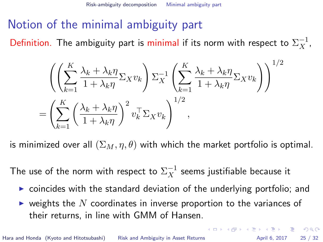## <span id="page-24-0"></span>Notion of the minimal ambiguity part

Definition. The ambiguity part is minimal if its norm with respect to  $\Sigma_X^{-1},$ 

$$
\left( \left( \sum_{k=1}^{K} \frac{\lambda_k + \lambda_k \eta}{1 + \lambda_k \eta} \Sigma_X v_k \right) \Sigma_X^{-1} \left( \sum_{k=1}^{K} \frac{\lambda_k + \lambda_k \eta}{1 + \lambda_k \eta} \Sigma_X v_k \right) \right)^{1/2} \n= \left( \sum_{k=1}^{K} \left( \frac{\lambda_k + \lambda_k \eta}{1 + \lambda_k \eta} \right)^2 v_k^{\top} \Sigma_X v_k \right)^{1/2},
$$

is minimized over all  $(\Sigma_M, \eta, \theta)$  with which the market portfolio is optimal.

The use of the norm with respect to  $\Sigma_X^{-1}$  seems justifiable because it

- $\triangleright$  coincides with the standard deviation of the underlying portfolio; and
- $\blacktriangleright$  weights the  $N$  coordinates in inverse proportion to the variances of their returns, in line with GMM of Hansen.

K □ ▶ K @ ▶ K 할 > K 할 > → 할 → K) Q Q @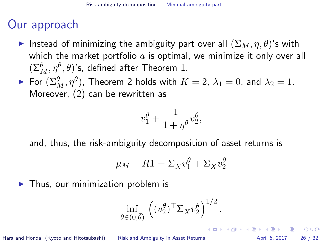## Our approach

- Instead of minimizing the ambiguity part over all  $(\Sigma_M, \eta, \theta)$ 's with which the market portfolio  $a$  is optimal, we minimize it only over all  $(\Sigma^\theta_M, \eta^\theta, \theta)$ 's, defined after Theorem 1.
- $\blacktriangleright$  For  $(\Sigma_M^\theta, \eta^\theta)$ , Theorem 2 holds with  $K=2, \: \lambda_1=0,$  and  $\lambda_2=1.$ Moreover, [\(2\)](#page-21-1) can be rewritten as

$$
v_1^{\theta} + \frac{1}{1 + \eta^{\theta}} v_2^{\theta},
$$

and, thus, the risk-ambiguity decomposition of asset returns is

$$
\mu_M - R\mathbf{1} = \Sigma_X v_1^{\theta} + \Sigma_X v_2^{\theta}
$$

 $\blacktriangleright$  Thus, our minimization problem is

$$
\inf_{\theta \in (0,\bar{\theta})} \left( (v_2^{\theta})^{\top} \Sigma_X v_2^{\theta} \right)^{1/2}.
$$

Hara and Honda (Kyoto and Hitotsubashi) [Risk and Ambiguity in Asset Returns](#page-0-0) April 6, 2017 26 / 32

K ロ X K 레 X K 화 X X 화 X 화 화 3 X 0 A Q Q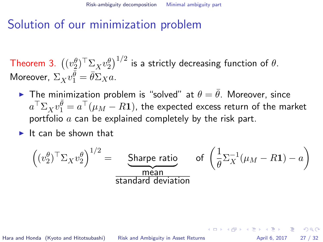## Solution of our minimization problem

Theorem 3.  $\left((v_2^\theta)^\top \Sigma_X v_2^\theta \right)^{1/2}$  is a strictly decreasing function of  $\theta.$ Moreover,  $\Sigma_X v_1^{\bar{\theta}} = \bar{\theta} \Sigma_X a$ .

- **I** The minimization problem is "solved" at  $\theta = \bar{\theta}$ . Moreover, since  $a^\top \Sigma_X v_1^{\bar{\theta}} = a^\top (\mu_M - R \mathbf{1}),$  the expected excess return of the market portfolio  $a$  can be explained completely by the risk part.
- $\blacktriangleright$  It can be shown that

$$
\left( (v_2^{\theta})^{\top} \Sigma_X v_2^{\theta} \right)^{1/2} = \underbrace{\text{Share ratio}}_{\text{standard deviation}} \quad \text{of } \left( \frac{1}{\theta} \Sigma_X^{-1} (\mu_M - R \mathbf{1}) - a \right)
$$

Hara and Honda (Kyoto and Hitotsubashi) [Risk and Ambiguity in Asset Returns](#page-0-0) April 6, 2017 27 / 32

K ロ ▶ K @ ▶ K 할 ▶ K 할 ▶ ... 할 → 9 Q @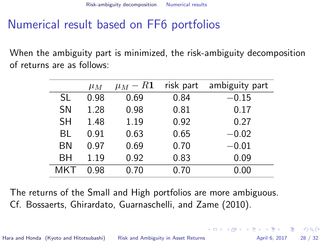## <span id="page-27-0"></span>Numerical result based on FF6 portfolios

When the ambiguity part is minimized, the risk-ambiguity decomposition of returns are as follows:

|           | $\mu_M$ | $\mu_M - R1$ | risk part | ambiguity part |
|-----------|---------|--------------|-----------|----------------|
| SL        | 0.98    | 0.69         | 0.84      | $-0.15$        |
| <b>SN</b> | 1.28    | 0.98         | 0.81      | 0.17           |
| SН        | 1.48    | 1.19         | 0.92      | 0.27           |
| BL        | 0.91    | 0.63         | 0.65      | $-0.02$        |
| ΒN        | 0.97    | 0.69         | 0.70      | $-0.01$        |
| BН        | 1.19    | 0.92         | 0.83      | 0.09           |
| MKT       | 0.98    | 0.70         | 0.70      | 0.00           |

The returns of the Small and High portfolios are more ambiguous. Cf. Bossaerts, Ghirardato, Guarnaschelli, and Zame (2010).

Hara and Honda (Kyoto and Hitotsubashi) [Risk and Ambiguity in Asset Returns](#page-0-0) April 6, 2017 28 / 32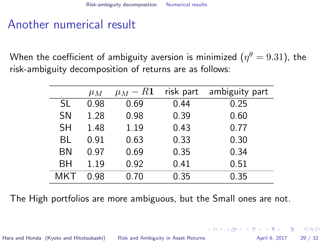## Another numerical result

When the coefficient of ambiguity aversion is minimized  $(\eta^\theta=9.31)$ , the risk-ambiguity decomposition of returns are as follows:

|           | $\mu_M$ | $\mu_M - R1$ | risk part | ambiguity part |
|-----------|---------|--------------|-----------|----------------|
| SL        | 0.98    | 0.69         | 0.44      | 0.25           |
| <b>SN</b> | 1.28    | 0.98         | 0.39      | 0.60           |
| SН        | 1.48    | 1.19         | 0.43      | 0.77           |
| BL        | 0.91    | 0.63         | 0.33      | 0.30           |
| ΒN        | 0.97    | 0.69         | 0.35      | 0.34           |
| <b>BH</b> | 1.19    | 0.92         | 0.41      | 0.51           |
| MKT       | 0.98    | 0.70         | 0.35      | 0.35           |

The High portfolios are more ambiguous, but the Small ones are not.

Hara and Honda (Kyoto and Hitotsubashi) [Risk and Ambiguity in Asset Returns](#page-0-0) April 6, 2017 29 / 32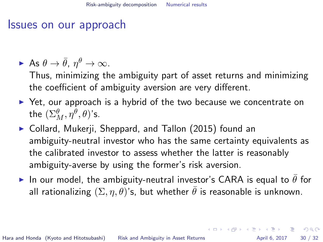#### Issues on our approach

$$
\blacktriangleright \ \text{As} \ \theta \to \bar{\theta}, \ \eta^\theta \to \infty.
$$

Thus, minimizing the ambiguity part of asset returns and minimizing the coefficient of ambiguity aversion are very different.

- $\triangleright$  Yet, our approach is a hybrid of the two because we concentrate on the  $(\Sigma_M^\theta, \eta^\theta, \theta)$ 's.
- $\triangleright$  Collard, Mukerji, Sheppard, and Tallon (2015) found an ambiguity-neutral investor who has the same certainty equivalents as the calibrated investor to assess whether the latter is reasonably ambiguity-averse by using the former's risk aversion.
- In our model, the ambiguity-neutral investor's CARA is equal to  $\bar{\theta}$  for all rationalizing  $(\Sigma, \eta, \theta)$ 's, but whether  $\bar{\theta}$  is reasonable is unknown.

Hara and Honda (Kyoto and Hitotsubashi) [Risk and Ambiguity in Asset Returns](#page-0-0) April 6, 2017 30 / 32

**KOD KARD KED KED E VAN**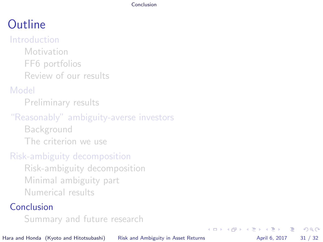[Conclusion](#page-30-0)

# <span id="page-30-0"></span>**Outline**

#### [Introduction](#page-1-0)

[Motivation](#page-2-0) [FF6 portfolios](#page-3-0) [Review of our results](#page-5-0)

#### [Model](#page-9-0)

[Preliminary results](#page-10-0)

#### ["Reasonably" ambiguity-averse investors](#page-14-0)

[Background](#page-15-0) [The criterion we use](#page-18-0)

#### [Risk-ambiguity decomposition](#page-20-0)

[Risk-ambiguity decomposition](#page-21-0) [Minimal ambiguity part](#page-24-0) [Numerical results](#page-27-0)

#### [Conclusion](#page-30-0)

[Summary and future research](#page-31-0)

Hara and Honda (Kyoto and Hitotsubashi) [Risk and Ambiguity in Asset Returns](#page-0-0) April 6, 2017 31 / 32

 $\equiv$ 

 $QQ$ 

イロト イ押ト イヨト イヨト